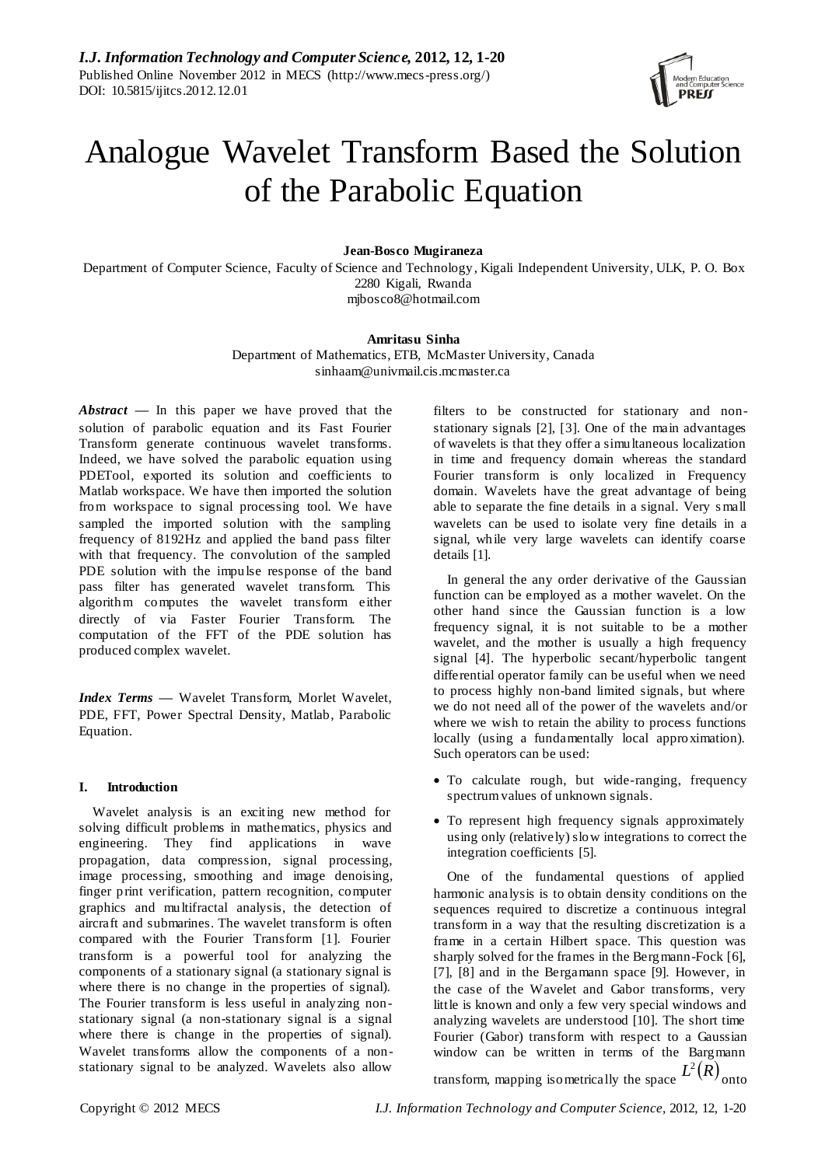

# Analogue Wavelet Transform Based the Solution of the Parabolic Equation

## **Jean-Bosco Mugiraneza**

Department of Computer Science, Faculty of Science and Technology, Kigali Independent University, ULK, P. O. Box 2280 Kigali, Rwanda [mjbosco8@hotmail.com](mailto:mjbosco8@hotmail.com)

## **Amritasu Sinha**

Department of Mathematics, ETB, McMaster University, Canada sinhaam@univmail.cis.mcmaster.ca

*Abstract* **—** In this paper we have proved that the solution of parabolic equation and its Fast Fourier Transform generate continuous wavelet transforms. Indeed, we have solved the parabolic equation using PDETool, exported its solution and coefficients to Matlab workspace. We have then imported the solution from workspace to signal processing tool. We have sampled the imported solution with the sampling frequency of 8192Hz and applied the band pass filter with that frequency. The convolution of the sampled PDE solution with the impulse response of the band pass filter has generated wavelet transform. This algorithm computes the wavelet transform either directly of via Faster Fourier Transform. The computation of the FFT of the PDE solution has produced complex wavelet.

*Index Terms —* Wavelet Transform, Morlet Wavelet, PDE, FFT, Power Spectral Density, Matlab, Parabolic Equation.

## **I. Introduction**

Wavelet analysis is an exciting new method for solving difficult problems in mathematics, physics and engineering. They find applications in wave propagation, data compression, signal processing, image processing, smoothing and image denoising, finger print verification, pattern recognition, computer graphics and multifractal analysis, the detection of aircraft and submarines. The wavelet transform is often compared with the Fourier Transform [1]. Fourier transform is a powerful tool for analyzing the components of a stationary signal (a stationary signal is where there is no change in the properties of signal). The Fourier transform is less useful in analyzing nonstationary signal (a non-stationary signal is a signal where there is change in the properties of signal). Wavelet transforms allow the components of a nonstationary signal to be analyzed. Wavelets also allow filters to be constructed for stationary and nonstationary signals [2], [3]. One of the main advantages of wavelets is that they offer a simultaneous localization in time and frequency domain whereas the standard Fourier transform is only localized in Frequency domain. Wavelets have the great advantage of being able to separate the fine details in a signal. Very small wavelets can be used to isolate very fine details in a signal, while very large wavelets can identify coarse details [1].

In general the any order derivative of the Gaussian function can be employed as a mother wavelet. On the other hand since the Gaussian function is a low frequency signal, it is not suitable to be a mother wavelet, and the mother is usually a high frequency signal [4]. The hyperbolic secant/hyperbolic tangent differential operator family can be useful when we need to process highly non-band limited signals, but where we do not need all of the power of the wavelets and/or where we wish to retain the ability to process functions locally (using a fundamentally local approximation). Such operators can be used:

- To calculate rough, but wide-ranging, frequency spectrum values of unknown signals.
- To represent high frequency signals approximately using only (relatively) slow integrations to correct the integration coefficients [5].

One of the fundamental questions of applied harmonic analysis is to obtain density conditions on the sequences required to discretize a continuous integral transform in a way that the resulting discretization is a frame in a certain Hilbert space. This question was sharply solved for the frames in the Bergmann-Fock [6], [7], [8] and in the Bergamann space [9]. However, in the case of the Wavelet and Gabor transforms, very little is known and only a few very special windows and analyzing wavelets are understood [10]. The short time Fourier (Gabor) transform with respect to a Gaussian window can be written in terms of the Bargmann

transform, mapping isometrically the space  $L^2(R)$ onto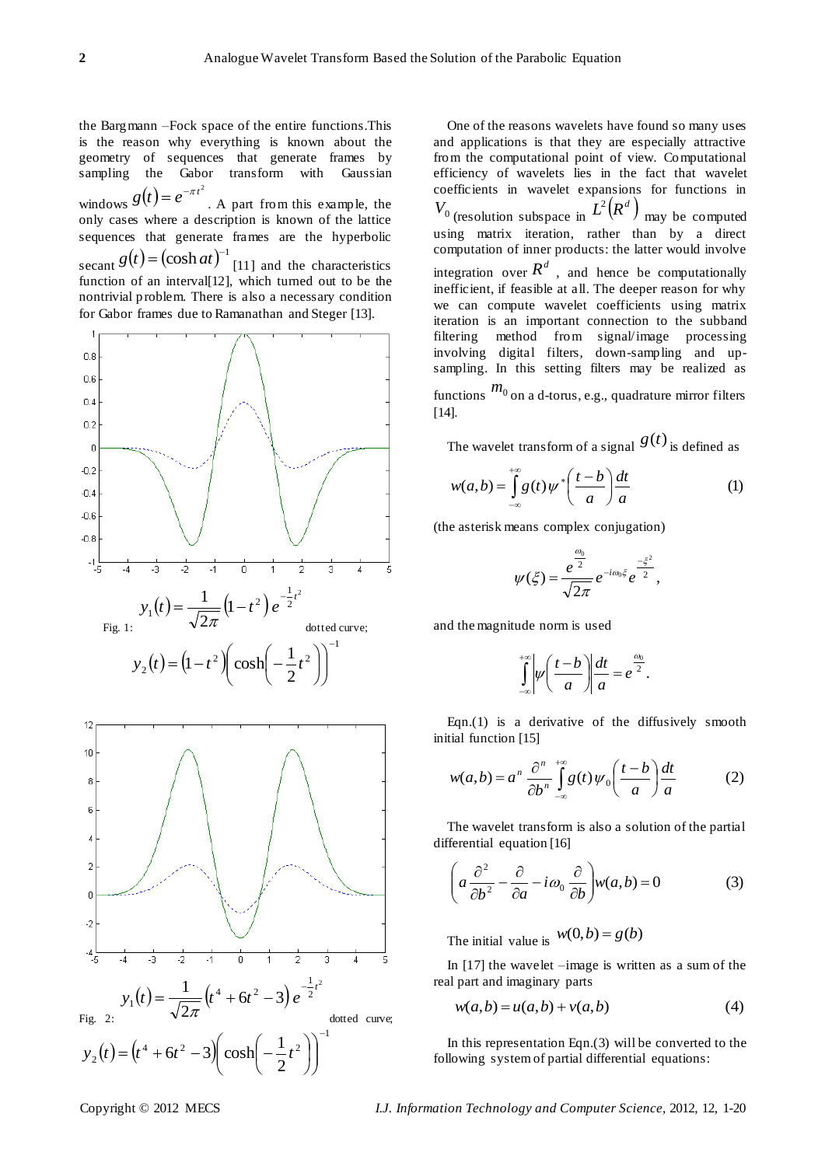the Bargmann –Fock space of the entire functions.This is the reason why everything is known about the geometry of sequences that generate frames by sampling the Gabor transform with Gaussian windows  $g(t) = e^{-\pi t^2}$ . A part from this example, the only cases where a description is known of the lattice sequences that generate frames are the hyperbolic secant  $g(t) = (\cosh at)^{-1}$  [11] and the characteristics function of an interval[12], which turned out to be the nontrivial problem. There is also a necessary condition for Gabor frames due to Ramanathan and Steger [13].





One of the reasons wavelets have found so many uses and applications is that they are especially attractive from the computational point of view. Computational efficiency of wavelets lies in the fact that wavelet coefficients in wavelet expansions for functions in  $V_0$  (resolution subspace in  $L^2(R^d)$ ) may be computed using matrix iteration, rather than by a direct computation of inner products: the latter would involve integration over  $R^d$ , and hence be computationally inefficient, if feasible at all. The deeper reason for why we can compute wavelet coefficients using matrix iteration is an important connection to the subband filtering method from signal/image processing involving digital filters, down-sampling and upsampling. In this setting filters may be realized as functions  $m_0$  on a d-torus, e.g., quadrature mirror filters [14].

The wavelet transform of a signal  $g(t)$  is defined as

$$
w(a,b) = \int_{-\infty}^{+\infty} g(t) \psi^* \left(\frac{t-b}{a}\right) \frac{dt}{a} \tag{1}
$$

(the asterisk means complex conjugation)

$$
\psi(\xi) = \frac{e^{\frac{\omega_0}{2}}}{\sqrt{2\pi}} e^{-i\omega_0 \xi} e^{\frac{-\xi^2}{2}},
$$

and the magnitude norm is used

$$
\int_{-\infty}^{+\infty} \left| \psi \left( \frac{t-b}{a} \right) \right| \frac{dt}{a} = e^{\frac{a_0}{2}}.
$$

Eqn. $(1)$  is a derivative of the diffusively smooth initial function [15]

$$
w(a,b) = a^n \frac{\partial^n}{\partial b^n} \int_{-\infty}^{+\infty} g(t) \psi_0\left(\frac{t-b}{a}\right) \frac{dt}{a}
$$
 (2)

The wavelet transform is also a solution of the partial differential equation [16]

$$
\left(a\frac{\partial^2}{\partial b^2} - \frac{\partial}{\partial a} - i\omega_0 \frac{\partial}{\partial b}\right) w(a, b) = 0
$$
 (3)

The initial value is  $w(0,b) = g(b)$ 

In [17] the wavelet –image is written as a sum of the real part and imaginary parts

$$
w(a,b) = u(a,b) + v(a,b) \tag{4}
$$

In this representation Eqn. $(3)$  will be converted to the following system of partial differential equations: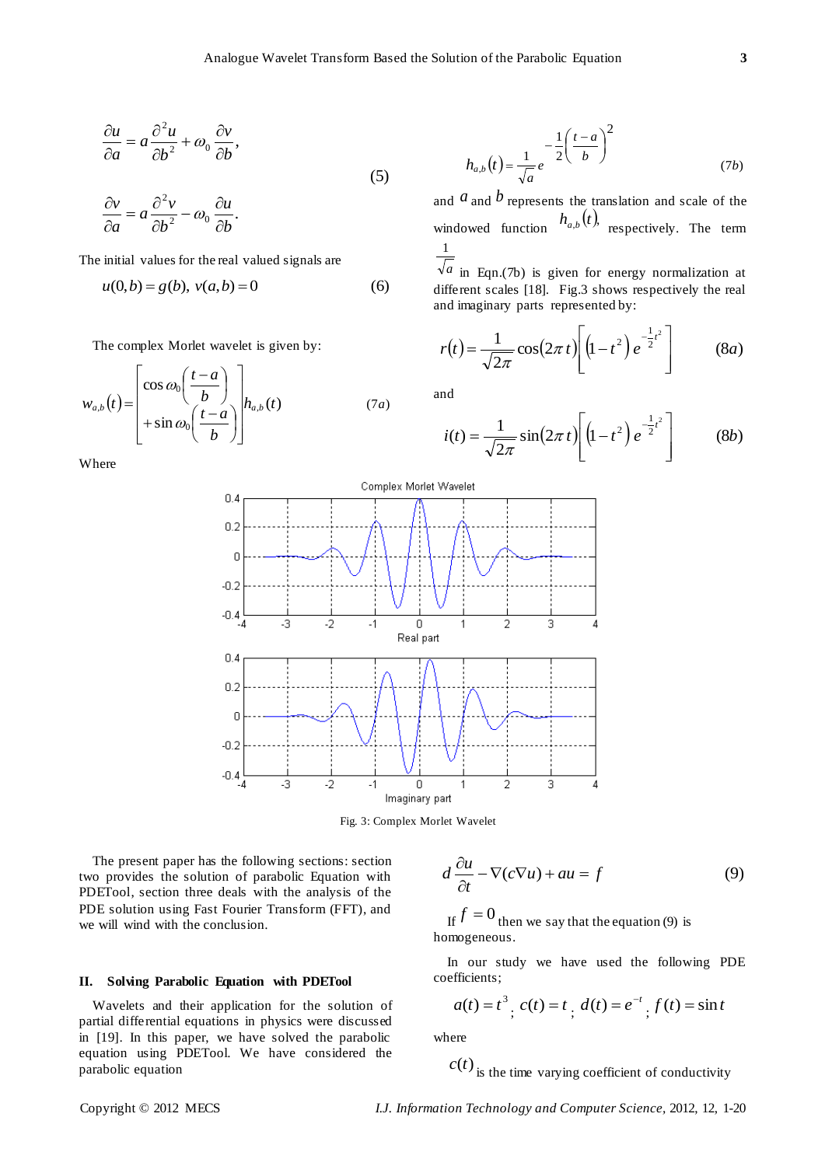$$
\frac{\partial u}{\partial a} = a \frac{\partial^2 u}{\partial b^2} + \omega_0 \frac{\partial v}{\partial b},
$$
\n(5)

 $\partial$ The initial values for the real valued signals are

*b u*

 $\frac{c}{2} - \omega_0 \frac{\partial u}{\partial h}$ .

 $-\omega_0 \frac{\partial}{\partial x}$ 

2

*b*  $a \frac{\partial^2 v}{\partial x^2}$ 

 $\partial$  $= a \frac{\partial}{\partial x}$ 

 $\frac{\partial v}{\partial y} = a \frac{\partial^2 v}{\partial x^2} - a v$ 

*a v*

 $\partial$ 

$$
u(0,b) = g(b), \ v(a,b) = 0 \tag{6}
$$

The complex Morlet wavelet is given by:

$$
w_{a,b}(t) = \begin{bmatrix} \cos \omega_0 \left( \frac{t-a}{b} \right) \\ + \sin \omega_0 \left( \frac{t-a}{b} \right) \end{bmatrix} h_{a,b}(t) \tag{7a}
$$

Where

$$
h_{a,b}(t) = \frac{1}{\sqrt{a}}e^{-\frac{1}{2}\left(\frac{t-a}{b}\right)^2}
$$
 (7b)

and  $a$  and  $b$  represents the translation and scale of the windowed function  $h_{a,b}(t)$ , respectively. The term 1

*a* in Eqn.(7b) is given for energy normalization at different scales [18]. Fig.3 shows respectively the real and imaginary parts represented by:

$$
r(t) = \frac{1}{\sqrt{2\pi}} \cos(2\pi t) \left[ (1 - t^2) e^{-\frac{1}{2}t^2} \right]
$$
 (8*a*)

and

$$
i(t) = \frac{1}{\sqrt{2\pi}} \sin(2\pi t) \left[ \left( 1 - t^2 \right) e^{-\frac{1}{2}t^2} \right]
$$
 (8b)



Fig. 3: Complex Morlet Wavelet

The present paper has the following sections: section two provides the solution of parabolic Equation with PDETool, section three deals with the analysis of the PDE solution using Fast Fourier Transform (FFT), and we will wind with the conclusion.

## **II. Solving Parabolic Equation with PDETool**

Wavelets and their application for the solution of partial differential equations in physics were discussed in [19]. In this paper, we have solved the parabolic equation using PDETool. We have considered the parabolic equation

$$
d\frac{\partial u}{\partial t} - \nabla(c\nabla u) + au = f \tag{9}
$$

If  $f = 0$  then we say that the equation (9) is homogeneous.

In our study we have used the following PDE coefficients;

$$
a(t) = t3
$$
,  $c(t) = t$ ,  $d(t) = e^{-t}$ ,  $f(t) = \sin t$ 

where

 $c(t)$  is the time varying coefficient of conductivity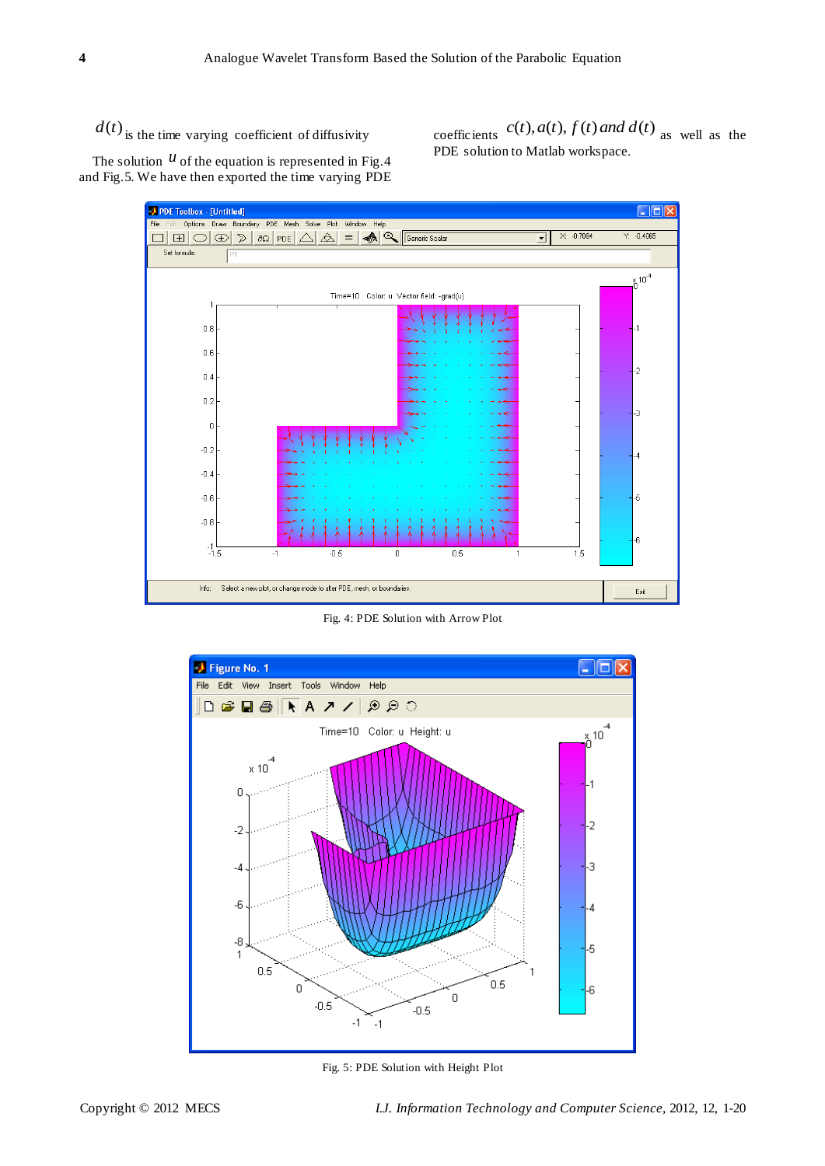$d(t)$  is the time varying coefficient of diffusivity

coefficients  $c(t)$ ,  $a(t)$ ,  $f(t)$  and  $d(t)$  as well as the PDE solution to Matlab workspace.

The solution  *of the equation is represented in Fig. 4* and Fig.5. We have then exported the time varying PDE



Fig. 4: PDE Solution with Arrow Plot



Fig. 5: PDE Solution with Height Plot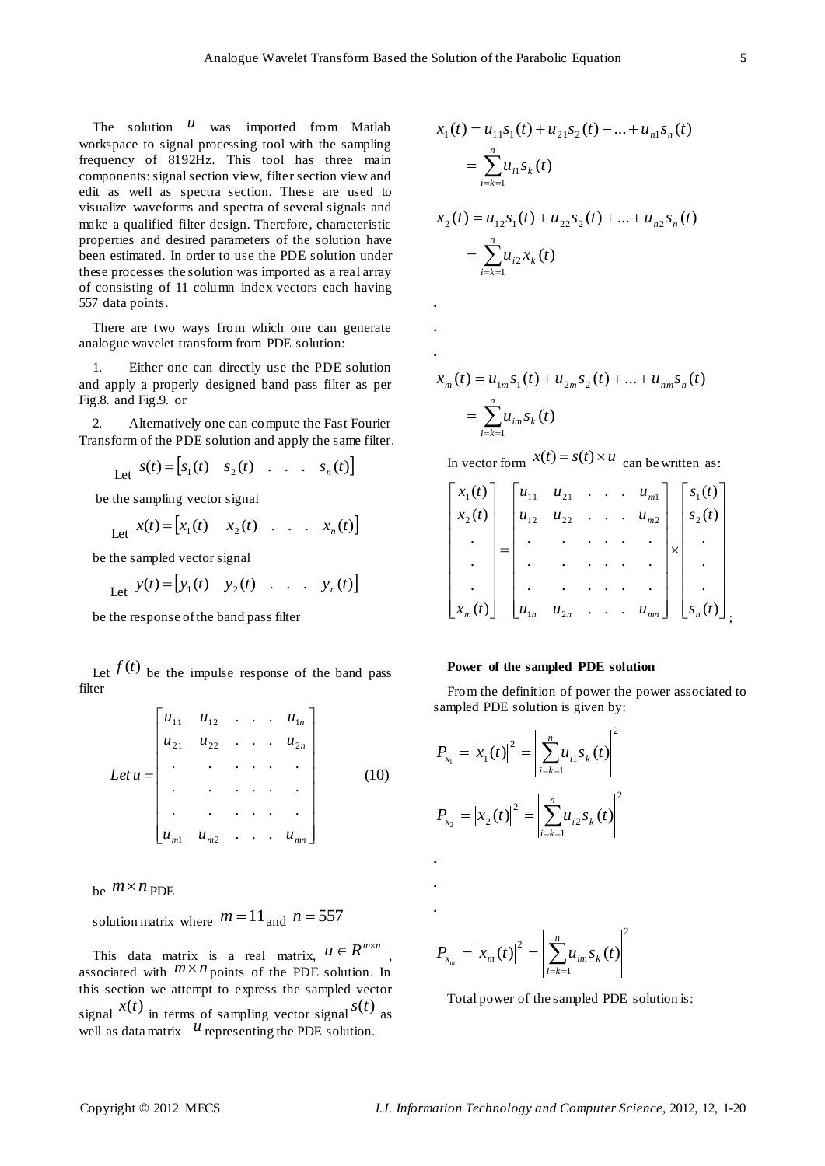**.**

**. .**

The solution  $\mathcal{U}$  was imported from Matlab workspace to signal processing tool with the sampling frequency of 8192Hz. This tool has three main components: signal section view, filter section view and edit as well as spectra section. These are used to visualize waveforms and spectra of several signals and make a qualified filter design. Therefore, characteristic properties and desired parameters of the solution have been estimated. In order to use the PDE solution under these processes the solution was imported as a real array of consisting of 11 column index vectors each having 557 data points.

There are two ways from which one can generate analogue wavelet transform from PDE solution:

1. Either one can directly use the PDE solution and apply a properly designed band pass filter as per Fig.8. and Fig.9. or

2. Alternatively one can compute the Fast Fourier Transform of the PDE solution and apply the same filter.

Let 
$$
s(t) = [s_1(t) \quad s_2(t) \quad \dots \quad s_n(t)]
$$

be the sampling vector signal

$$
\text{Let } x(t) = \begin{bmatrix} x_1(t) & x_2(t) & \dots & x_n(t) \end{bmatrix}
$$

be the sampled vector signal

$$
\text{Let } y(t) = \begin{bmatrix} y_1(t) & y_2(t) & \dots & y_n(t) \end{bmatrix}
$$

be the response of the band pass filter

Let  $f(t)$  be the impulse response of the band pass filter

$$
Let u = \begin{bmatrix} u_{11} & u_{12} & \cdots & u_{1n} \\ u_{21} & u_{22} & \cdots & u_{2n} \\ \vdots & \vdots & \ddots & \vdots \\ u_{m1} & u_{m2} & \cdots & u_{mn} \end{bmatrix}
$$
 (10)

be  $m \times n$  PDE

solution matrix where  $m = 11$  and  $n = 557$ 

This data matrix is a real matrix,  $u \in R^{m \times n}$ , associated with  $\lim_{n \to \infty} n$  points of the PDE solution. In this section we attempt to express the sampled vector signal  $x(t)$  in terms of sampling vector signal  $s(t)$  as well as data matrix  $u$  representing the PDE solution.

$$
x_1(t) = u_{11} s_1(t) + u_{21} s_2(t) + ... + u_{n1} s_n(t)
$$
  
= 
$$
\sum_{i=k=1}^n u_{i1} s_k(t)
$$
  

$$
x_2(t) = u_{12} s_1(t) + u_{22} s_2(t) + ... + u_{n2} s_n(t)
$$
  
= 
$$
\sum_{i=k=1}^n u_{i2} x_k(t)
$$

$$
x_m(t) = u_{1m} s_1(t) + u_{2m} s_2(t) + \dots + u_{nm} s_n(t)
$$
  
= 
$$
\sum_{i=k=1}^n u_{im} s_k(t)
$$

In vector form  $x(t) = s(t) \times u$  can be written as:

$$
\begin{bmatrix} x_1(t) \\ x_2(t) \\ \vdots \\ x_m(t) \end{bmatrix} = \begin{bmatrix} u_{11} & u_{21} & \cdots & u_{m1} \\ u_{12} & u_{22} & \cdots & u_{m2} \\ \vdots & \vdots & \ddots & \vdots \\ u_{1n} & u_{2n} & \cdots & u_{mn} \end{bmatrix} \times \begin{bmatrix} s_1(t) \\ s_2(t) \\ \vdots \\ s_n(t) \end{bmatrix},
$$

#### **Power of the sampled PDE solution**

From the definition of power the power associated to sampled PDE solution is given by:

$$
P_{x_1} = |x_1(t)|^2 = \left| \sum_{i=k-1}^n u_{i1} s_k(t) \right|^2
$$
  

$$
P_{x_2} = |x_2(t)|^2 = \left| \sum_{i=k-1}^n u_{i2} s_k(t) \right|^2
$$

2 1  $P_{x_m} = |x_m(t)|^2 = \sum_{m} u_{im} s_k(t)$ *n*  $P_{x_m} = (x_m(t))^{2} = \left| \sum_{i=k=1}^{n} u_{im} \right|$  $=$   $|x_{m}(t)|^{2}$  =

Total power of the sampled PDE solution is: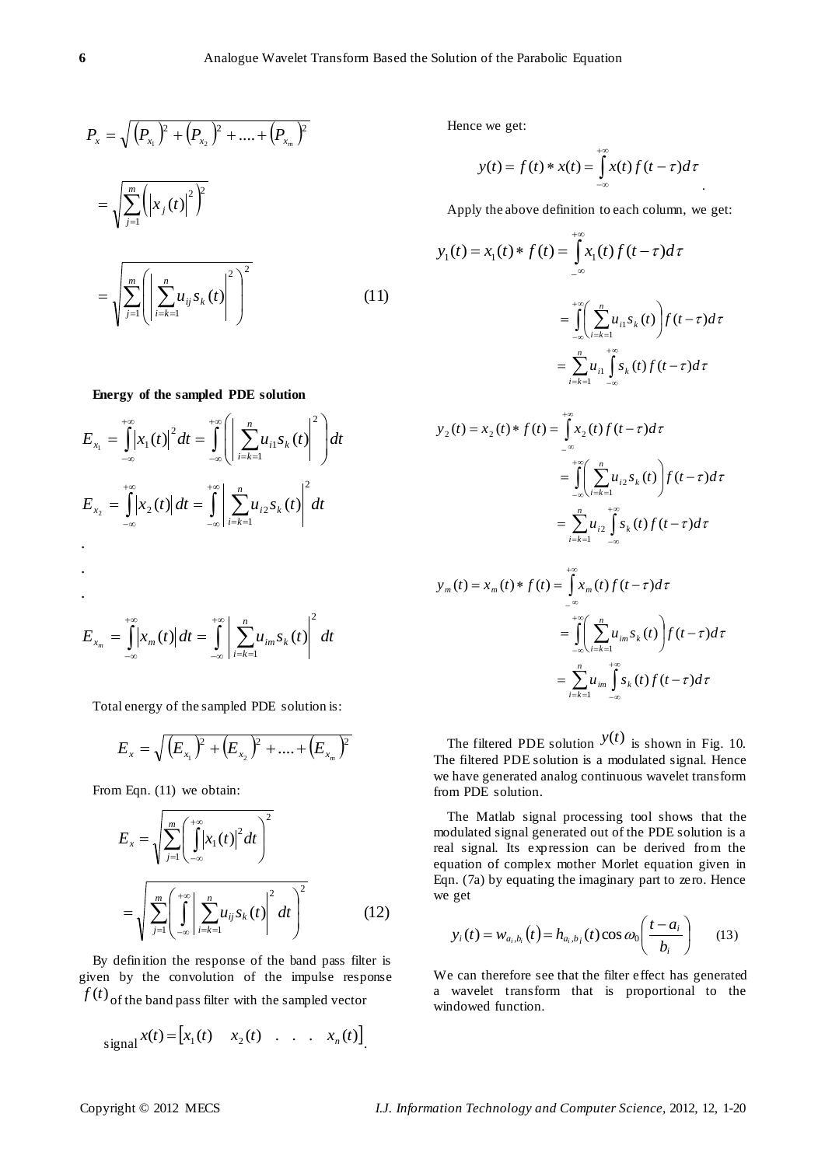$$
P_x = \sqrt{(P_{x_1})^2 + (P_{x_2})^2 + \dots + (P_{x_m})^2}
$$
  
= 
$$
\sqrt{\sum_{j=1}^m (x_j(t))^2}
$$
  
= 
$$
\sqrt{\sum_{j=1}^m (x_j e_{x_j}(t))^2}
$$
  
= 
$$
\sqrt{\sum_{j=1}^m (x_j e_{x_j}(t))^2}
$$
 (11)

## **Energy of the sampled PDE solution**

$$
E_{x_1} = \int_{-\infty}^{+\infty} |x_1(t)|^2 dt = \int_{-\infty}^{+\infty} \left( \left| \sum_{i=k=1}^n u_{i1} s_k(t) \right|^2 \right) dt
$$
  
\n
$$
E_{x_2} = \int_{-\infty}^{+\infty} |x_2(t)| dt = \int_{-\infty}^{+\infty} \left| \sum_{i=k=1}^n u_{i2} s_k(t) \right|^2 dt
$$
  
\n
$$
...
$$

$$
E_{x_m} = \int_{-\infty}^{+\infty} |x_m(t)| dt = \int_{-\infty}^{+\infty} \left| \sum_{i=k=1}^{n} u_{im} s_k(t) \right|^2 dt
$$

Total energy of the sampled PDE solution is:

$$
E_{x} = \sqrt{(E_{x_1})^2 + (E_{x_2})^2 + \dots + (E_{x_m})^2}
$$

From Eqn. (11) we obtain:

$$
E_x = \sqrt{\sum_{j=1}^m \left(\int_{-\infty}^{+\infty} |x_1(t)|^2 dt\right)^2}
$$
  
= 
$$
\sqrt{\sum_{j=1}^m \left(\int_{-\infty}^{+\infty} \left|\sum_{i=k=1}^n u_{ij} s_k(t)\right|^2 dt\right)^2}
$$
 (12)

By definition the response of the band pass filter is given by the convolution of the impulse response  $f(t)$  of the band pass filter with the sampled vector

$$
signal x(t) = [x_1(t) \quad x_2(t) \quad \dots \quad x_n(t)]
$$

Hence we get:

$$
y(t) = f(t) * x(t) = \int_{-\infty}^{+\infty} x(t) f(t-\tau) d\tau
$$

Apply the above definition to each column, we get:

$$
y_1(t) = x_1(t) * f(t) = \int_{-\infty}^{+\infty} x_1(t) f(t-\tau) d\tau
$$
  

$$
= \int_{-\infty}^{+\infty} \left( \sum_{i=k=1}^n u_{i1} s_k(t) \right) f(t-\tau) d\tau
$$
  

$$
= \sum_{i=k=1}^n u_{i1} \int_{-\infty}^{+\infty} s_k(t) f(t-\tau) d\tau
$$
  

$$
+ \infty
$$

$$
y_2(t) = x_2(t) * f(t) = \int_{-\infty}^{\infty} x_2(t) f(t-\tau) d\tau
$$
  
= 
$$
\int_{-\infty}^{+\infty} \left( \sum_{i=k-1}^{n} u_{i2} s_k(t) \right) f(t-\tau) d\tau
$$
  
= 
$$
\sum_{i=k-1}^{n} u_{i2} \int_{-\infty}^{+\infty} s_k(t) f(t-\tau) d\tau
$$

$$
y_m(t) = x_m(t) * f(t) = \int_{-\infty}^{\infty} x_m(t) f(t-\tau) d\tau
$$
  

$$
= \int_{-\infty}^{+\infty} \left( \sum_{i=k=1}^n u_{im} s_k(t) \right) f(t-\tau) d\tau
$$
  

$$
= \sum_{i=k=1}^n u_{im} \int_{-\infty}^{+\infty} s_k(t) f(t-\tau) d\tau
$$

The filtered PDE solution  $y(t)$  is shown in Fig. 10. The filtered PDE solution is a modulated signal. Hence we have generated analog continuous wavelet transform from PDE solution.

The Matlab signal processing tool shows that the modulated signal generated out of the PDE solution is a real signal. Its expression can be derived from the equation of complex mother Morlet equation given in Eqn. (7a) by equating the imaginary part to zero. Hence we get

$$
y_i(t) = w_{a_i, b_i}(t) = h_{a_i, b_i}(t) \cos \omega_0 \left( \frac{t - a_i}{b_i} \right) \qquad (13)
$$

We can therefore see that the filter effect has generated a wavelet transform that is proportional to the windowed function.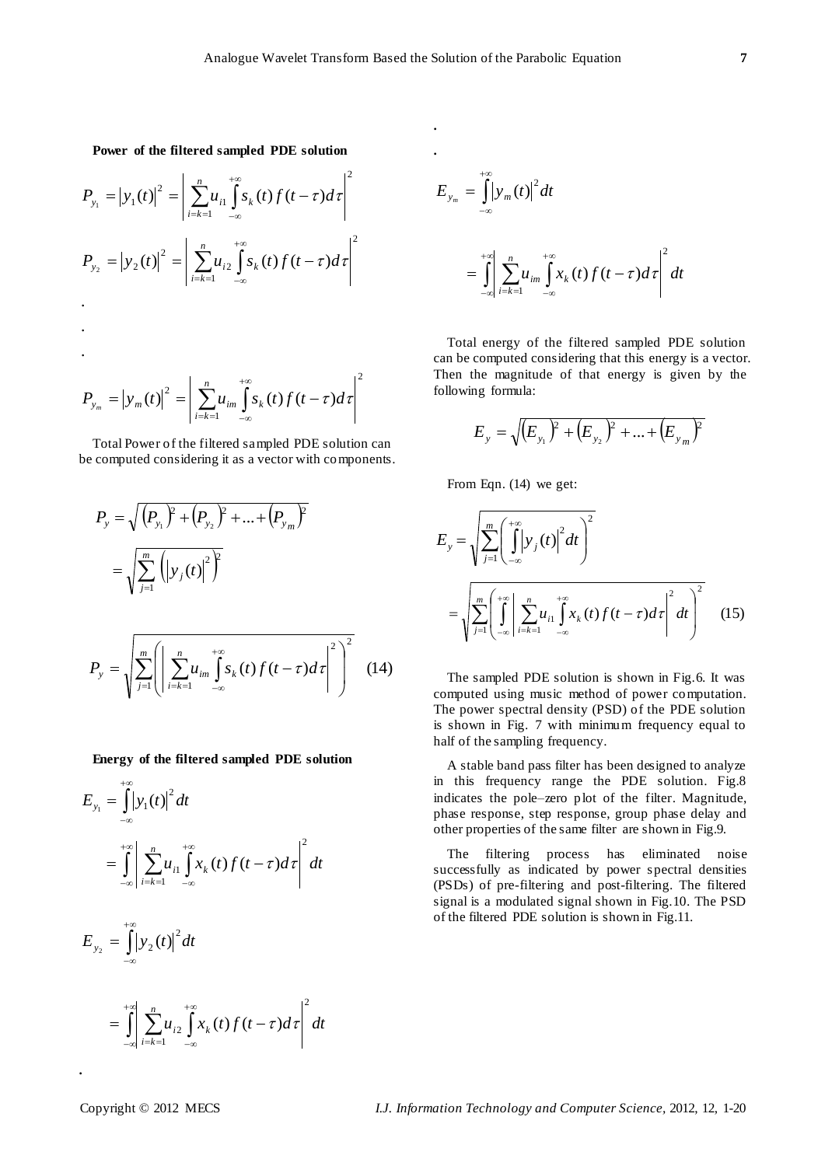**. .**

**Power of the filtered sampled PDE solution**

$$
P_{y_1} = |y_1(t)|^2 = \left| \sum_{i=k=1}^n u_{i1} \int_{-\infty}^{+\infty} s_k(t) f(t-\tau) d\tau \right|^2
$$
  
\n
$$
P_{y_2} = |y_2(t)|^2 = \left| \sum_{i=k=1}^n u_{i2} \int_{-\infty}^{+\infty} s_k(t) f(t-\tau) d\tau \right|^2
$$
  
\n
$$
\cdot
$$
  
\n
$$
P_{y_m} = |y_m(t)|^2 = \left| \sum_{i=k=1}^n u_{im} \int_{-\infty}^{+\infty} s_k(t) f(t-\tau) d\tau \right|^2
$$

Total Power of the filtered sampled PDE solution can be computed considering it as a vector with components.

$$
P_{y} = \sqrt{(P_{y_1})^2 + (P_{y_2})^2 + ... + (P_{y_m})^2}
$$
  
=  $\sqrt{\sum_{j=1}^{m} (y_j(t))^2}$   

$$
P_{y} = \sqrt{\sum_{j=1}^{m} (x_j + \sum_{j=1}^{m} y_j t_j + x_j^2)} \left( \sum_{j=1}^{m} u_{j} \int_{-\infty}^{+\infty} s_k(t) f(t-\tau) d\tau \right)^2
$$
 (14)

**Energy of the filtered sampled PDE solution**

$$
E_{y_1} = \int_{-\infty}^{+\infty} |y_1(t)|^2 dt
$$
  
= 
$$
\int_{-\infty}^{+\infty} \left| \sum_{i=k=1}^n u_{i1} \int_{-\infty}^{+\infty} x_k(t) f(t-\tau) d\tau \right|^2 dt
$$

$$
E_{y_2} = \iint_{-\infty}^{\infty} |y_2(t)|^2 dt
$$

$$
=\int_{-\infty}^{+\infty}\left|\sum_{i=k=1}^{n}u_{i2}\int_{-\infty}^{+\infty}x_{k}(t)f(t-\tau)d\tau\right|^{2}dt
$$

$$
E_{y_m} = \int_{-\infty}^{+\infty} |y_m(t)|^2 dt
$$
  
= 
$$
\int_{-\infty}^{+\infty} \left| \sum_{i=k-1}^{n} u_{im} \int_{-\infty}^{+\infty} x_k(t) f(t-\tau) d\tau \right|^2 dt
$$

Total energy of the filtered sampled PDE solution can be computed considering that this energy is a vector. Then the magnitude of that energy is given by the following formula:

$$
E_{y} = \sqrt{\left(E_{y_1}\right)^2 + \left(E_{y_2}\right)^2 + \dots + \left(E_{y_m}\right)^2}
$$

From Eqn. (14) we get:

$$
E_{y} = \sqrt{\sum_{j=1}^{m} \left( \int_{-\infty}^{+\infty} |y_{j}(t)|^{2} dt \right)^{2}}
$$
  
=  $\sqrt{\sum_{j=1}^{m} \left( \int_{-\infty}^{+\infty} \left| \sum_{i=k=1}^{n} u_{i} \right| \int_{-\infty}^{+\infty} x_{k}(t) f(t-\tau) d\tau \right|^{2} dt \right)^{2}}$  (15)

The sampled PDE solution is shown in Fig.6. It was computed using music method of power computation. The power spectral density (PSD) of the PDE solution is shown in Fig. 7 with minimum frequency equal to half of the sampling frequency.

A stable band pass filter has been designed to analyze in this frequency range the PDE solution. Fig.8 indicates the pole–zero plot of the filter. Magnitude, phase response, step response, group phase delay and other properties of the same filter are shown in Fig.9.

The filtering process has eliminated noise successfully as indicated by power spectral densities (PSDs) of pre-filtering and post-filtering. The filtered signal is a modulated signal shown in Fig.10. The PSD of the filtered PDE solution is shown in Fig.11.

**.**

 $\pm \infty$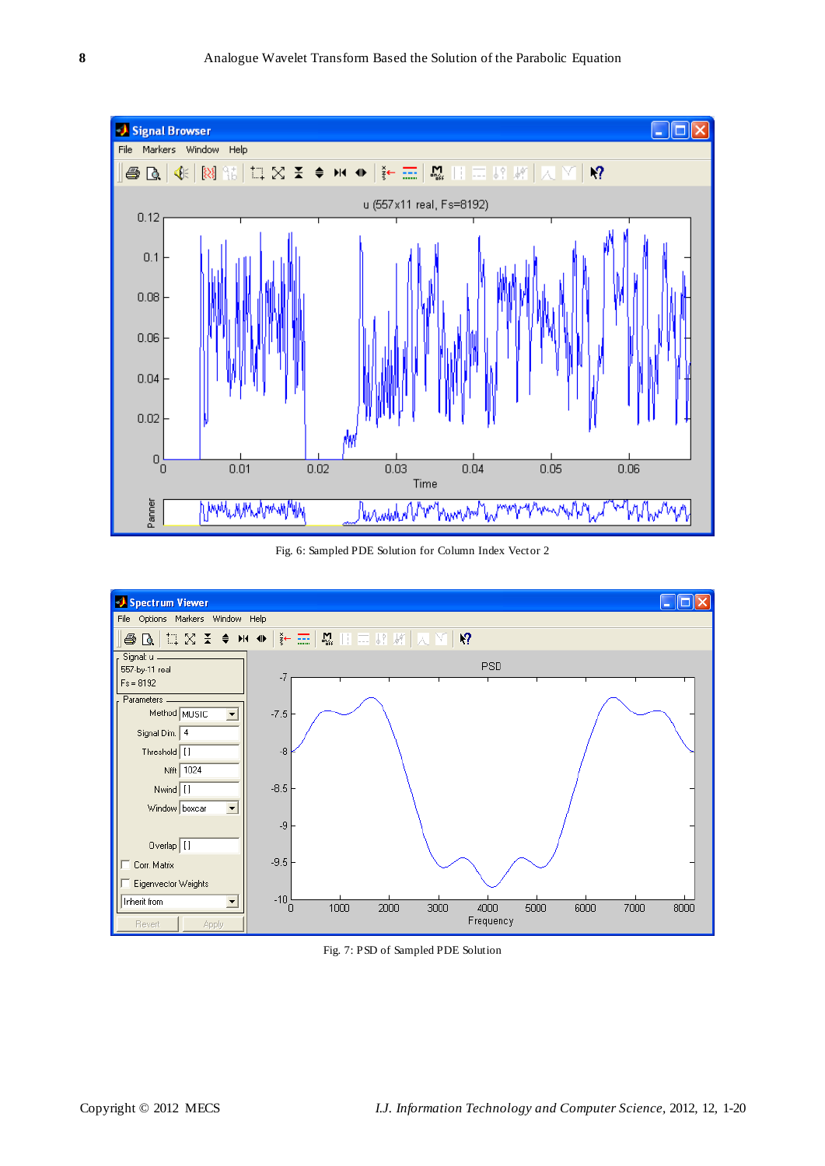

Fig. 6: Sampled PDE Solution for Column Index Vector 2



Fig. 7: PSD of Sampled PDE Solution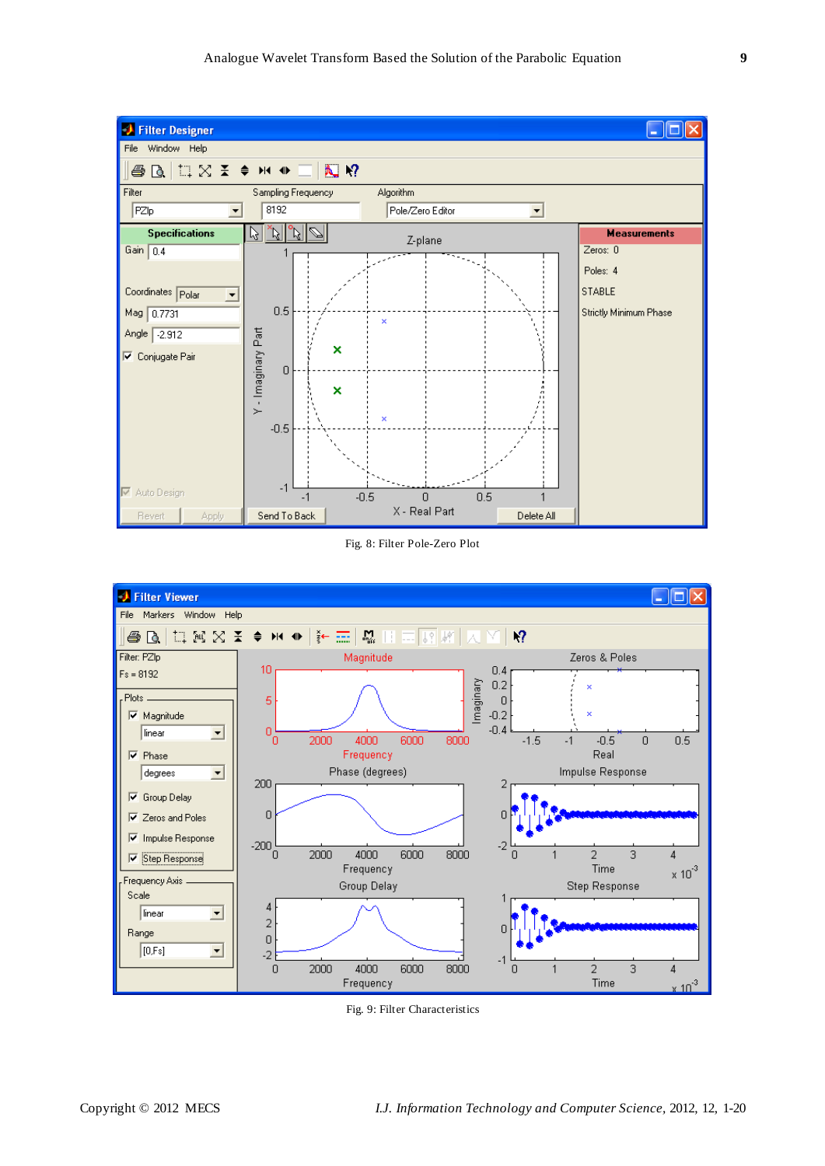

Fig. 8: Filter Pole-Zero Plot



Fig. 9: Filter Characteristics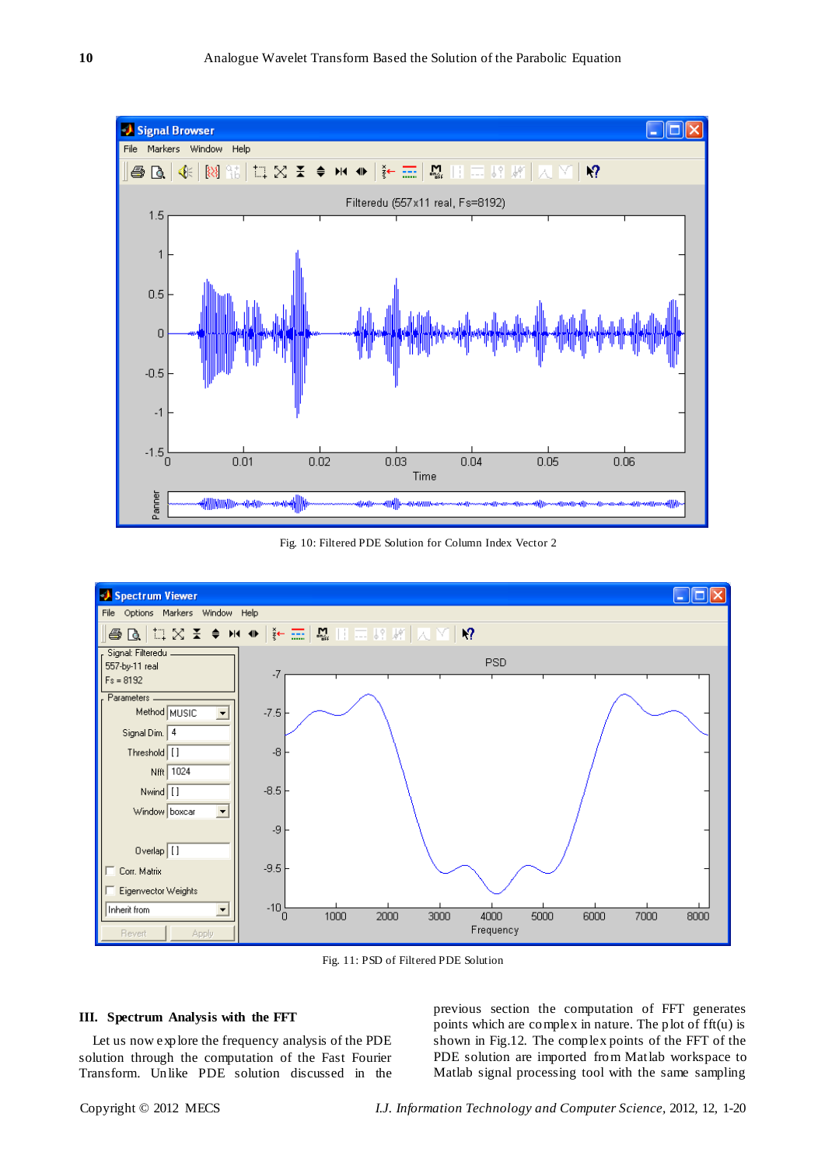

Fig. 10: Filtered PDE Solution for Column Index Vector 2



Fig. 11: PSD of Filtered PDE Solution

## **III. Spectrum Analysis with the FFT**

Let us now explore the frequency analysis of the PDE solution through the computation of the Fast Fourier Transform. Unlike PDE solution discussed in the

previous section the computation of FFT generates points which are complex in nature. The plot of fft(u) is shown in Fig.12. The complex points of the FFT of the PDE solution are imported from Matlab workspace to Matlab signal processing tool with the same sampling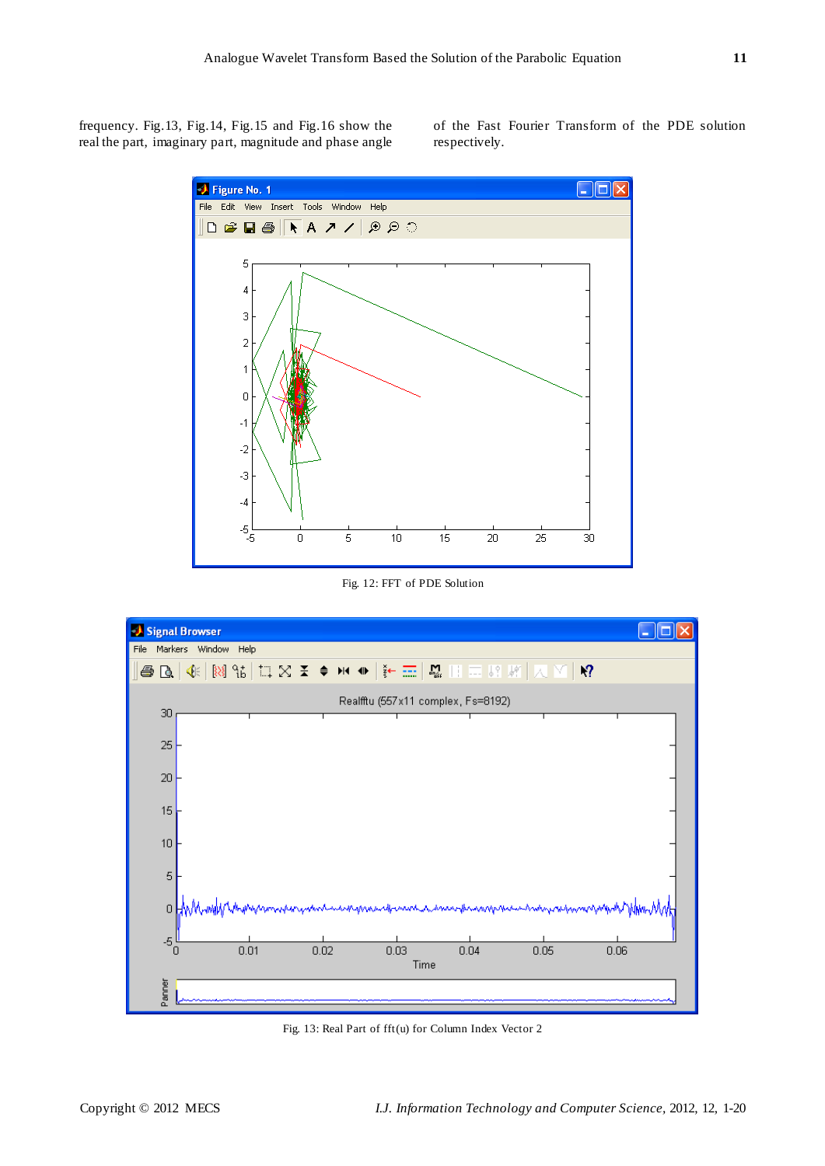frequency. Fig.13, Fig.14, Fig.15 and Fig.16 show the real the part, imaginary part, magnitude and phase angle of the Fast Fourier Transform of the PDE solution respectively.



Fig. 12: FFT of PDE Solution



Fig. 13: Real Part of fft(u) for Column Index Vector 2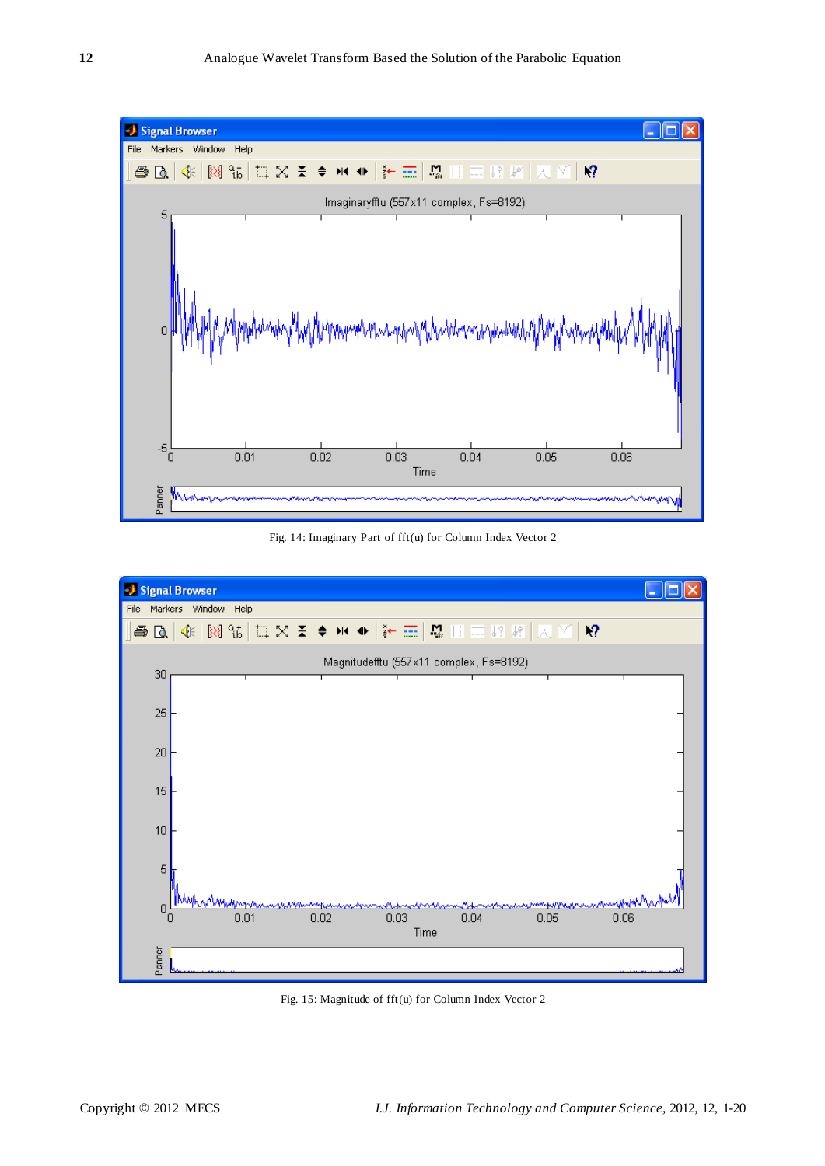

Fig. 14: Imaginary Part of fft(u) for Column Index Vector 2



Fig. 15: Magnitude of fft(u) for Column Index Vector 2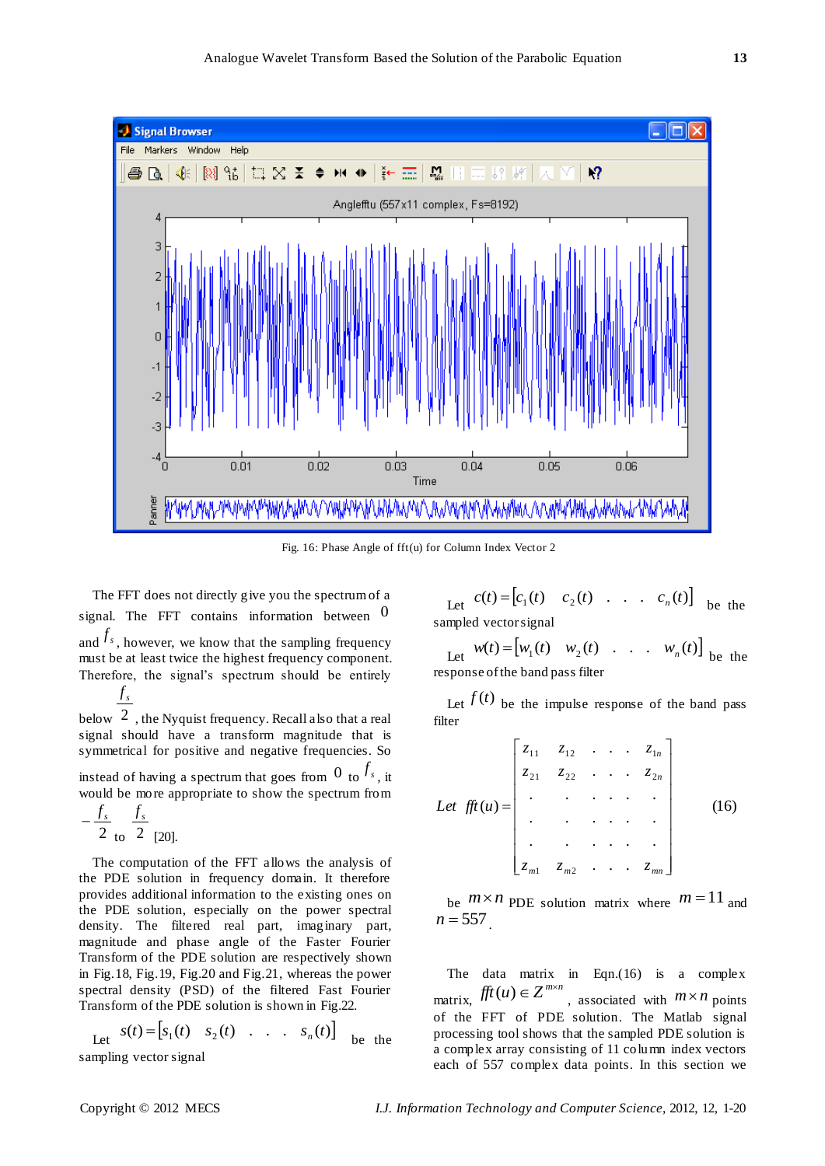

Fig. 16: Phase Angle of fft(u) for Column Index Vector 2

The FFT does not directly give you the spectrum of a signal. The FFT contains information between  $0$ and  $f_s$ , however, we know that the sampling frequency must be at least twice the highest frequency component. Therefore, the signal's spectrum should be entirely *s f*

below  $2$ , the Nyquist frequency. Recall also that a real signal should have a transform magnitude that is symmetrical for positive and negative frequencies. So

instead of having a spectrum that goes from  $\frac{0}{s}$  to  $\frac{f_s}{s}$ , it would be more appropriate to show the spectrum from

$$
-\frac{f_s}{2} \frac{f_s}{\text{ to } 2} \text{ [20]}.
$$

The computation of the FFT allows the analysis of the PDE solution in frequency domain. It therefore provides additional information to the existing ones on the PDE solution, especially on the power spectral density. The filtered real part, imaginary part, magnitude and phase angle of the Faster Fourier Transform of the PDE solution are respectively shown in Fig.18, Fig.19, Fig.20 and Fig.21, whereas the power spectral density (PSD) of the filtered Fast Fourier Transform of the PDE solution is shown in Fig.22.

Let 
$$
s(t) = [s_1(t) \quad s_2(t) \quad \dots \quad s_n(t)]
$$
 be the  
annling vector signal

sampling vector signal

Let  $c(t) = [c_1(t) \ c_2(t) \ \dots \ c_n(t)]$  be the sampled vector signal

Let 
$$
w(t) = [w_1(t) \quad w_2(t) \quad \dots \quad w_n(t)]
$$
 be the response of the band pass filter

Let  $f(t)$  be the impulse response of the band pass filter

Let 
$$
\hat{f}f(t) = \begin{bmatrix} z_{11} & z_{12} & \cdots & z_{1n} \\ z_{21} & z_{22} & \cdots & z_{2n} \\ \vdots & \vdots & \ddots & \vdots \\ z_{m1} & z_{m2} & \cdots & z_{mn} \end{bmatrix}
$$
 (16)

be  $m \times n$  PDE solution matrix where  $m = 11$  and  $n = 557$ 

The data matrix in Eqn.(16) is a complex matrix,  $fft(u) \in Z^{m \times n}$ , associated with  $m \times n$  points of the FFT of PDE solution. The Matlab signal processing tool shows that the sampled PDE solution is a complex array consisting of 11 column index vectors each of 557 complex data points. In this section we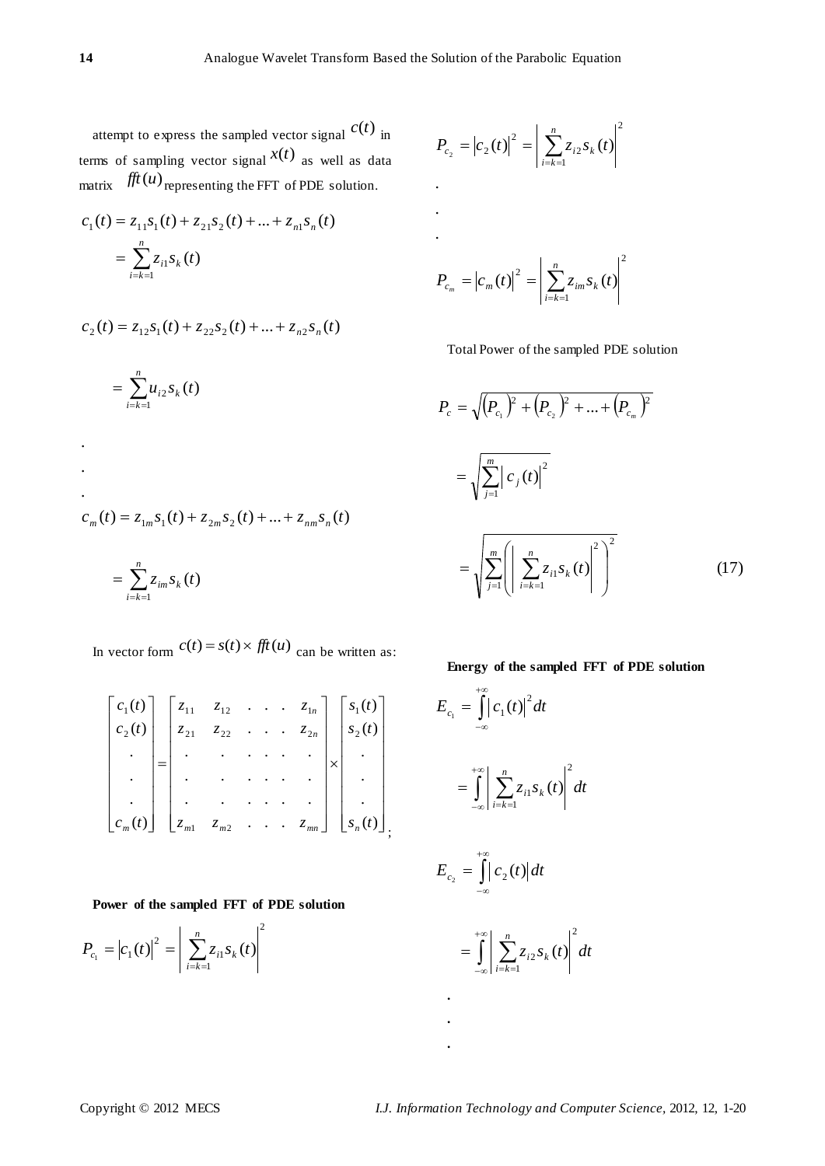attempt to express the sampled vector signal  $c(t)$  in terms of sampling vector signal  $x(t)$  as well as data matrix  $\hat{f}^{\dagger}(u)$  representing the FFT of PDE solution.

$$
c_1(t) = z_{11} s_1(t) + z_{21} s_2(t) + ... + z_{n1} s_n(t)
$$
  
= 
$$
\sum_{i=k=1}^n z_{i1} s_k(t)
$$

$$
c_2(t) = z_{12}s_1(t) + z_{22}s_2(t) + \dots + z_{n2}s_n(t)
$$

$$
= \sum_{i=k=1}^{n} u_{i2} s_k(t)
$$
  
\n
$$
c_m(t) = z_{1m} s_1(t) + z_{2m} s_2(t) + ... + z_{nm} s_n(t)
$$
  
\n
$$
= \sum_{i=k=1}^{n} z_{im} s_k(t)
$$

In vector form  $c(t) = s(t) \times \text{fft}(u)$  can be written as:

$$
\begin{bmatrix} c_1(t) \\ c_2(t) \\ \vdots \\ c_m(t) \end{bmatrix} = \begin{bmatrix} z_{11} & z_{12} & \cdots & z_{1n} \\ z_{21} & z_{22} & \cdots & z_{2n} \\ \vdots & \vdots & \ddots & \vdots \\ z_{m1} & z_{m2} & \cdots & z_{mn} \end{bmatrix} \times \begin{bmatrix} s_1(t) \\ s_2(t) \\ \vdots \\ s_n(t) \end{bmatrix},
$$

**Power of the sampled FFT of PDE solution**

$$
P_{c_1} = |c_1(t)|^2 = \left| \sum_{i=k=1}^n z_{i1} s_k(t) \right|^2
$$

$$
P_{c_2} = |c_2(t)|^2 = \left| \sum_{i=k=1}^n z_{i2} s_k(t) \right|^2
$$
  
.  
.  
.  

$$
P_{c_m} = |c_m(t)|^2 = \left| \sum_{i=k=1}^n z_{im} s_k(t) \right|^2
$$

Total Power of the sampled PDE solution

$$
P_c = \sqrt{(P_{c_1})^2 + (P_{c_2})^2 + \dots + (P_{c_m})^2}
$$
  
= 
$$
\sqrt{\sum_{j=1}^m |c_j(t)|^2}
$$
  
= 
$$
\sqrt{\sum_{j=1}^m (|\sum_{i=k=1}^n z_{i1} s_k(t)|^2)^2}
$$
 (17)

# **Energy of the sampled FFT of PDE solution**

$$
E_{c_1} = \int_{-\infty}^{+\infty} |c_1(t)|^2 dt
$$
  
= 
$$
\int_{-\infty}^{+\infty} \left| \sum_{i=k=1}^n z_{i1} s_k(t) \right|^2 dt
$$

$$
E_{c_2} = \int_{-\infty}^{+\infty} |c_2(t)| dt
$$
  
= 
$$
\int_{-\infty}^{+\infty} \left| \sum_{i=k=1}^{n} z_{i2} s_k(t) \right|^2 dt
$$

**. . .**

. . .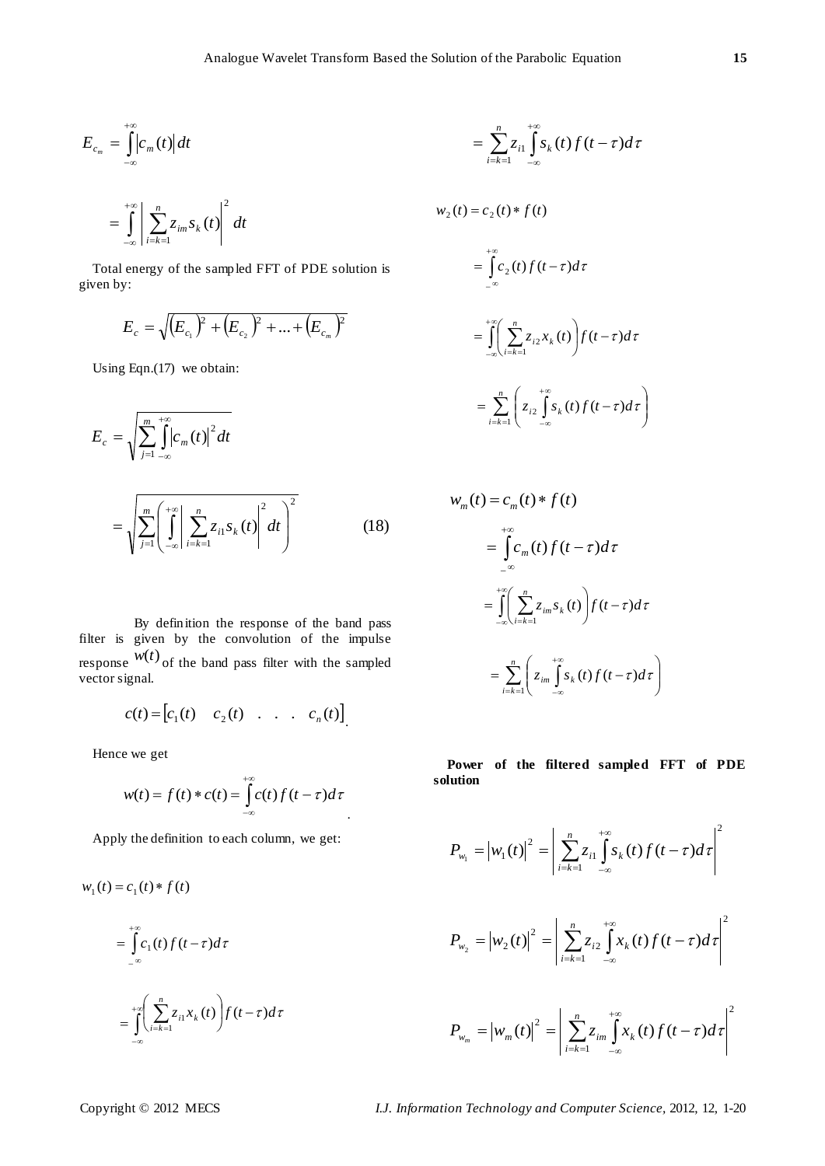$$
E_{c_m}=\int\limits_{-\infty}^{+\infty}\left|c_m(t)\right|dt
$$

$$
=\int_{-\infty}^{+\infty}\left|\sum_{i=k=1}^{n}z_{im}S_{k}(t)\right|^{2}dt
$$

Total energy of the sampled FFT of PDE solution is given by:

$$
E_c = \sqrt{\left(E_{c_1}\right)^2 + \left(E_{c_2}\right)^2 + \dots + \left(E_{c_m}\right)^2}
$$

Using Eqn.(17) we obtain:

$$
E_c = \sqrt{\sum_{j=1}^{m} \int_{-\infty}^{+\infty} |c_m(t)|^2 dt}
$$
  
= 
$$
\sqrt{\sum_{j=1}^{m} \left(\int_{-\infty}^{+\infty} \left| \sum_{i=k=1}^{n} z_{i1} s_k(t) \right|^2 dt\right)^2}
$$
 (18)

 By definition the response of the band pass filter is given by the convolution of the impulse response  $w(t)$  of the band pass filter with the sampled vector signal.

$$
c(t) = [c_1(t) \quad c_2(t) \quad . \quad . \quad . \quad c_n(t)]
$$

Hence we get

$$
w(t) = f(t) * c(t) = \int_{-\infty}^{+\infty} c(t) f(t-\tau) d\tau
$$

Apply the definition to each column, we get:

$$
w_1(t) = c_1(t) * f(t)
$$
  
= 
$$
\int_{-\infty}^{+\infty} c_1(t) f(t-\tau) d\tau
$$
  
= 
$$
\int_{-\infty}^{+\infty} \left( \sum_{i=k=1}^n z_{i1} x_k(t) \right) f(t-\tau) d\tau
$$

$$
= \sum_{i=k=1}^n z_{i1} \int_{-\infty}^{+\infty} s_k(t) f(t-\tau) d\tau
$$

$$
w_2(t) = c_2(t) * f(t)
$$
  
= 
$$
\int_{-\infty}^{+\infty} c_2(t) f(t-\tau) d\tau
$$
  
= 
$$
\int_{-\infty}^{+\infty} \left( \sum_{i=k=1}^n z_{i2} x_k(t) \right) f(t-\tau) d\tau
$$
  
= 
$$
\sum_{i=k=1}^n \left( z_{i2} \int_{-\infty}^{+\infty} s_k(t) f(t-\tau) d\tau \right)
$$

$$
w_m(t) = c_m(t) * f(t)
$$
  
= 
$$
\int_{-\infty}^{+\infty} c_m(t) f(t-\tau) d\tau
$$
  
= 
$$
\int_{-\infty}^{+\infty} \left( \sum_{i=k=1}^n z_{im} s_k(t) \right) f(t-\tau) d\tau
$$
  
= 
$$
\sum_{i=k=1}^n \left( z_{im} \int_{-\infty}^{+\infty} s_k(t) f(t-\tau) d\tau \right)
$$

**Power of the filtered sampled FFT of PDE solution**

$$
P_{w_1} = |w_1(t)|^2 = \left| \sum_{i=k=1}^n z_{i1} \int_{-\infty}^{+\infty} s_k(t) f(t-\tau) d\tau \right|^2
$$
  

$$
P_{w_2} = |w_2(t)|^2 = \left| \sum_{i=k=1}^n z_{i2} \int_{-\infty}^{+\infty} x_k(t) f(t-\tau) d\tau \right|^2
$$
  

$$
P_{w_m} = |w_m(t)|^2 = \left| \sum_{i=k=1}^n z_{im} \int_{-\infty}^{+\infty} x_k(t) f(t-\tau) d\tau \right|^2
$$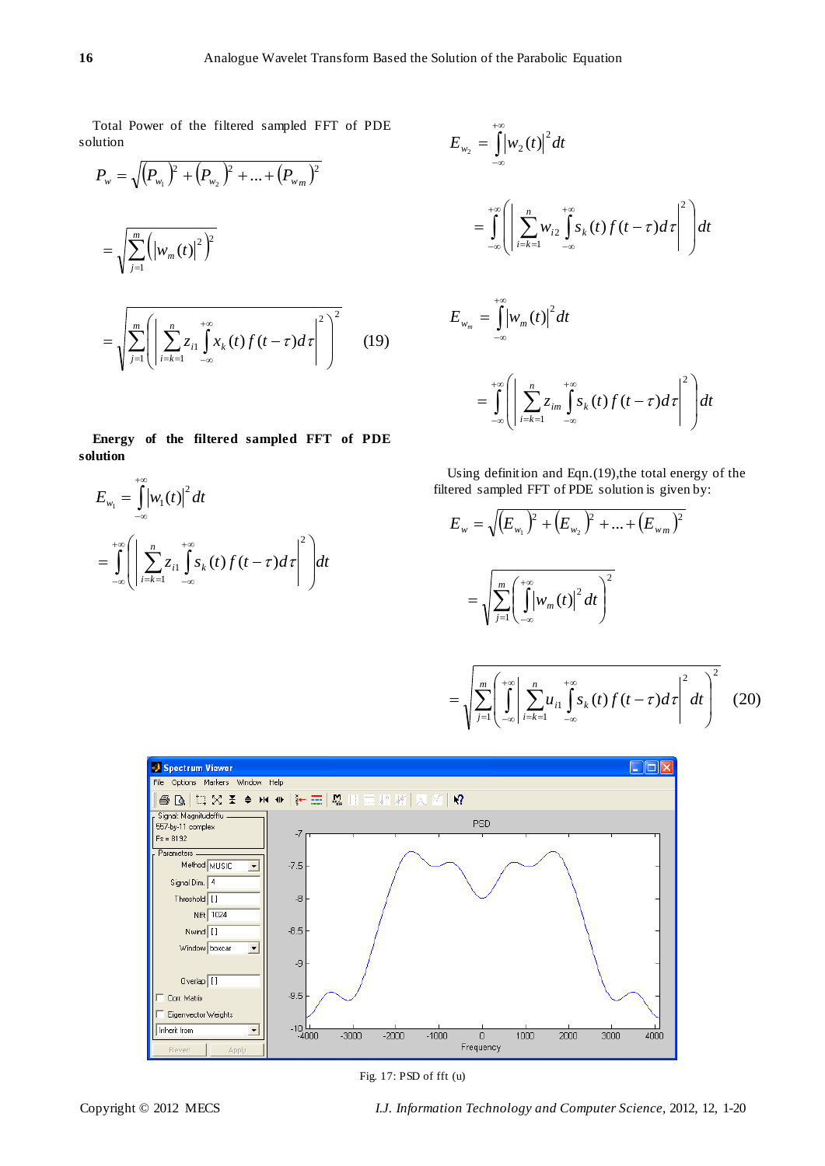Total Power of the filtered sampled FFT of PDE solution

$$
P_{w} = \sqrt{(P_{w_{1}})^{2} + (P_{w_{2}})^{2} + ... + (P_{w_{m}})^{2}}
$$
  
= 
$$
\sqrt{\sum_{j=1}^{m} ((w_{m}(t))^{2})^{2}}
$$
  
= 
$$
\sqrt{\sum_{j=1}^{m} ((\sum_{i=k=1}^{n} z_{i1} \int_{-\infty}^{+\infty} x_{k}(t) f(t-\tau) d\tau)^{2})^{2}}
$$
 (19)

**Energy of the filtered sampled FFT of PDE solution**

$$
E_{w_1} = \int_{-\infty}^{+\infty} \left| w_1(t) \right|^2 dt
$$
  
= 
$$
\int_{-\infty}^{+\infty} \left( \left| \sum_{i=k=1}^n z_{i1} \int_{-\infty}^{+\infty} s_k(t) f(t-\tau) d\tau \right|^2 \right) dt
$$

$$
E_{w_2} = \int_{-\infty}^{+\infty} \left| w_2(t) \right|^2 dt
$$
  
\n
$$
= \int_{-\infty}^{+\infty} \left( \left| \sum_{i=k=1}^n w_{i2} \int_{-\infty}^{+\infty} s_k(t) f(t-\tau) d\tau \right|^2 \right) dt
$$
  
\n
$$
E_{w_m} = \int_{-\infty}^{+\infty} \left| w_m(t) \right|^2 dt
$$
  
\n
$$
= \int_{-\infty}^{+\infty} \left| \sum_{i=k=1}^n z_{im} \int_{-\infty}^{+\infty} s_k(t) f(t-\tau) d\tau \right|^2 dt
$$

Using definition and Eqn.(19),the total energy of the filtered sampled FFT of PDE solution is given by:

$$
E_{w} = \sqrt{\left(E_{w_{1}}\right)^{2} + \left(E_{w_{2}}\right)^{2} + \dots + \left(E_{wm}\right)^{2}}
$$

$$
= \sqrt{\sum_{j=1}^{m} \left(\int_{-\infty}^{+\infty} \left|w_{m}(t)\right|^{2} dt\right)^{2}}
$$

$$
= \sqrt{\sum_{j=1}^{m} \left(\int_{-\infty}^{+\infty} \left| \sum_{i=k=1}^{n} u_{i1} \int_{-\infty}^{+\infty} s_k(t) f(t-\tau) d\tau \right|^2 dt \right)^2} \quad (20)
$$



Fig. 17: PSD of fft (u)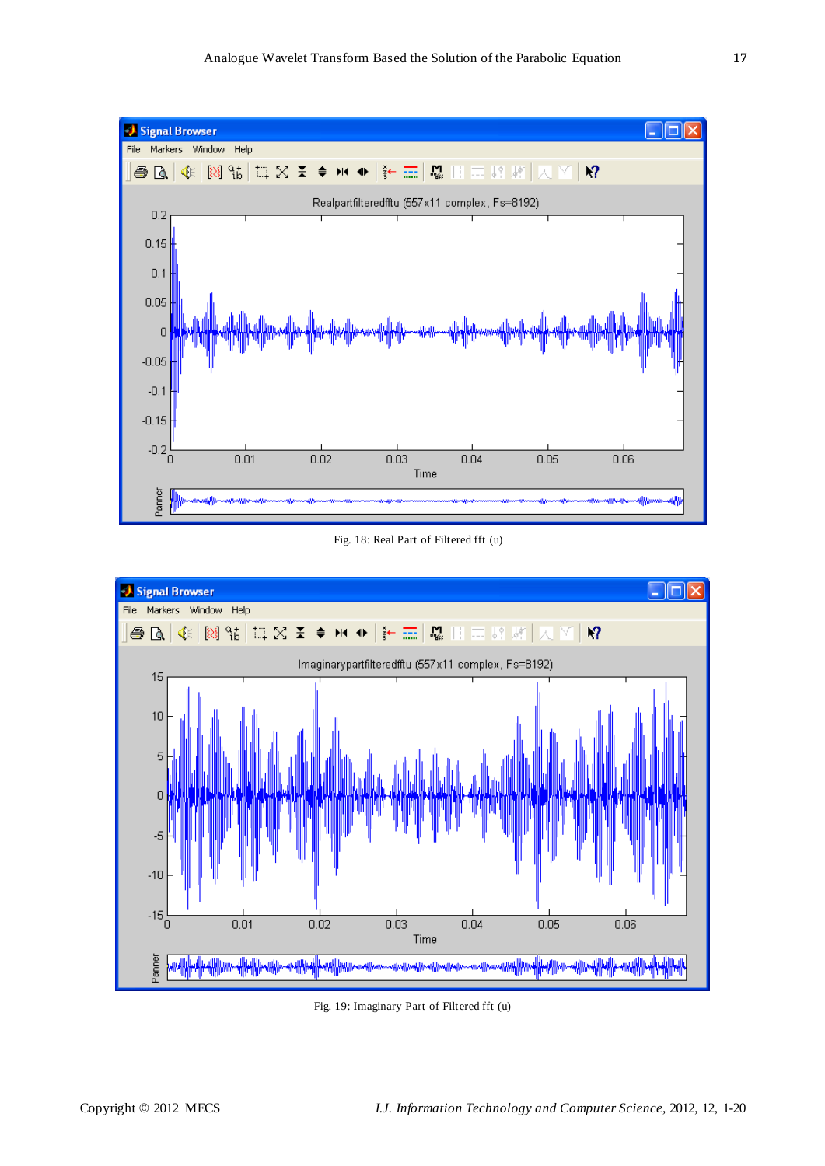

Fig. 18: Real Part of Filtered fft (u)



Fig. 19: Imaginary Part of Filtered fft (u)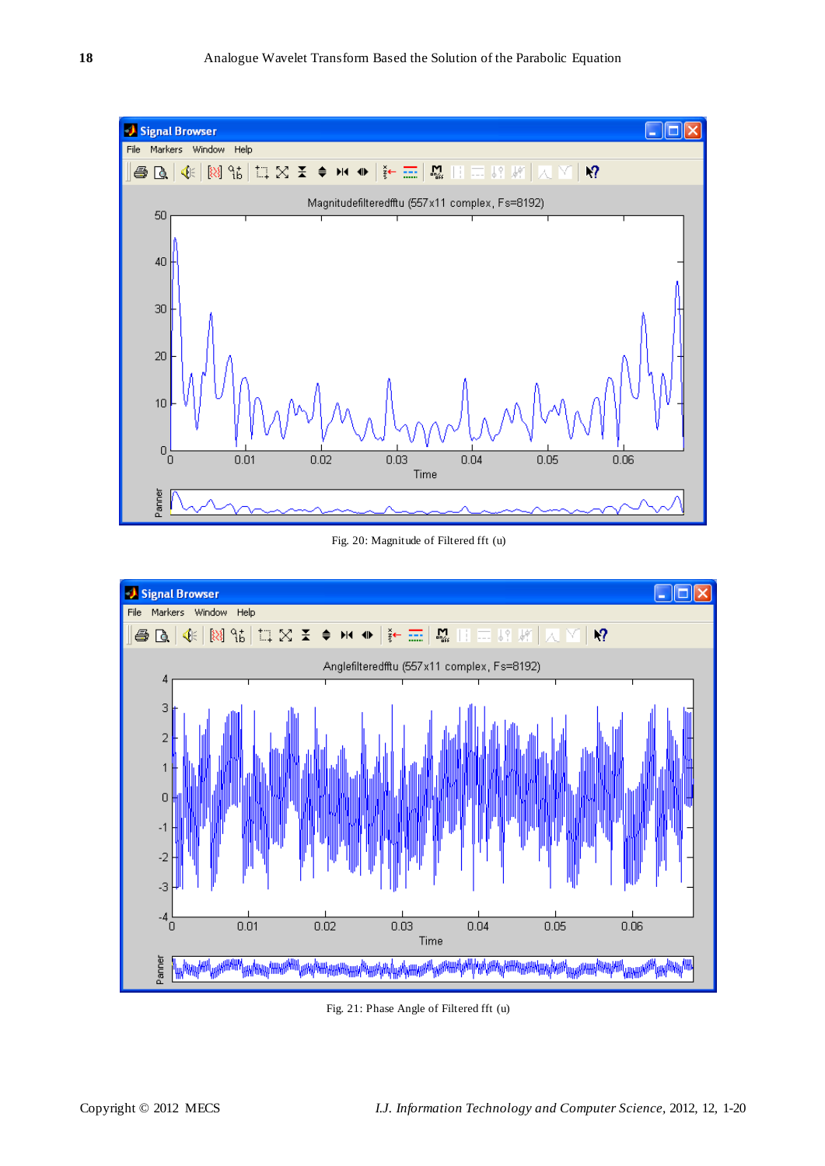

Fig. 20: Magnitude of Filtered fft (u)



Fig. 21: Phase Angle of Filtered fft (u)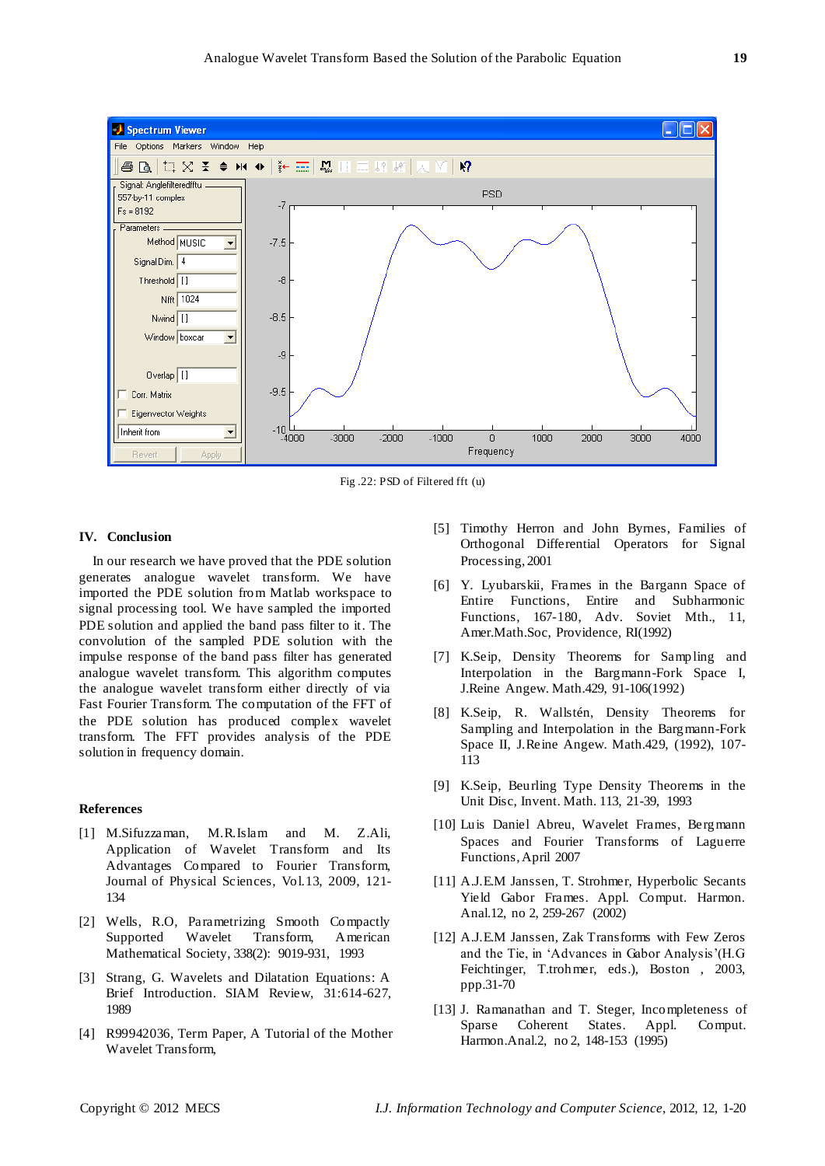

Fig .22: PSD of Filtered fft (u)

## **IV. Conclusion**

In our research we have proved that the PDE solution generates analogue wavelet transform. We have imported the PDE solution from Matlab workspace to signal processing tool. We have sampled the imported PDE solution and applied the band pass filter to it. The convolution of the sampled PDE solution with the impulse response of the band pass filter has generated analogue wavelet transform. This algorithm computes the analogue wavelet transform either directly of via Fast Fourier Transform. The computation of the FFT of the PDE solution has produced complex wavelet transform. The FFT provides analysis of the PDE solution in frequency domain.

## **References**

- [1] M.Sifuzzaman, M.R.Islam and M. Z.Ali, Application of Wavelet Transform and Its Advantages Compared to Fourier Transform, Journal of Physical Sciences, Vol.13, 2009, 121- 134
- [2] Wells, R.O, Parametrizing Smooth Compactly Supported Wavelet Transform, American Mathematical Society, 338(2): 9019-931, 1993
- [3] Strang, G. Wavelets and Dilatation Equations: A Brief Introduction. SIAM Review, 31:614-627, 1989
- [4] R99942036, Term Paper, A Tutorial of the Mother Wavelet Transform,
- [5] Timothy Herron and John Byrnes, Families of Orthogonal Differential Operators for Signal Processing, 2001
- [6] Y. Lyubarskii, Frames in the Bargann Space of Entire Functions, Entire and Subharmonic Functions, 167-180, Adv. Soviet Mth., 11, Amer.Math.Soc, Providence, RI(1992)
- [7] K.Seip, Density Theorems for Sampling and Interpolation in the Bargmann-Fork Space I, J.Reine Angew. Math.429, 91-106(1992)
- [8] K.Seip, R. Wallstén, Density Theorems for Sampling and Interpolation in the Bargmann-Fork Space II, J.Reine Angew. Math.429, (1992), 107- 113
- [9] K.Seip, Beurling Type Density Theorems in the Unit Disc, Invent. Math. 113, 21-39, 1993
- [10] Luis Daniel Abreu, Wavelet Frames, Bergmann Spaces and Fourier Transforms of Laguerre Functions, April 2007
- [11] A.J.E.M Janssen, T. Strohmer, Hyperbolic Secants Yield Gabor Frames. Appl. Comput. Harmon. Anal.12, no 2, 259-267 (2002)
- [12] A.J.E.M Janssen, Zak Transforms with Few Zeros and the Tie, in "Advances in Gabor Analysis"(H.G Feichtinger, T.trohmer, eds.), Boston , 2003, ppp.31-70
- [13] J. Ramanathan and T. Steger, Incompleteness of Sparse Coherent States. Appl. Comput. Harmon.Anal.2, no 2, 148-153 (1995)